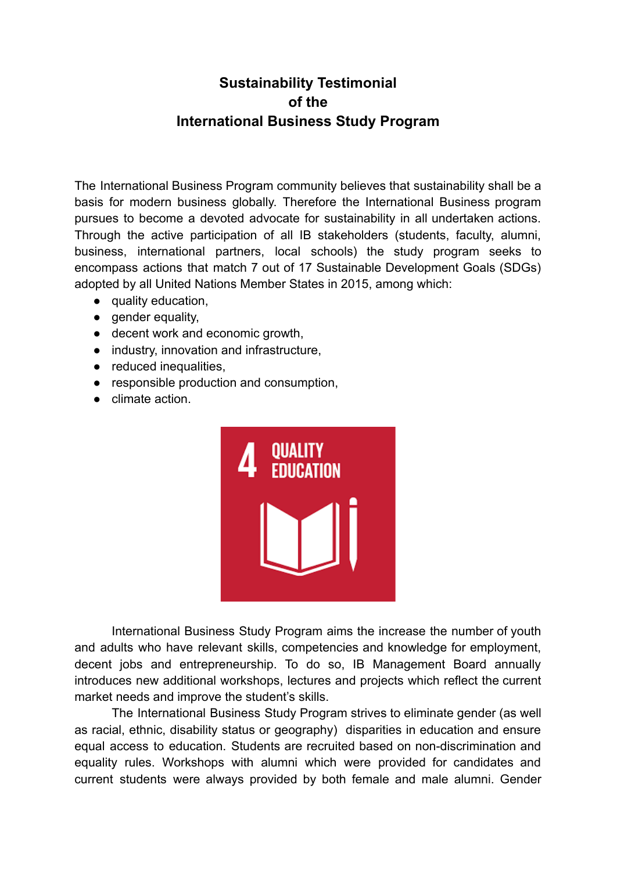## **Sustainability Testimonial of the International Business Study Program**

The International Business Program community believes that sustainability shall be a basis for modern business globally. Therefore the International Business program pursues to become a devoted advocate for sustainability in all undertaken actions. Through the active participation of all IB stakeholders (students, faculty, alumni, business, international partners, local schools) the study program seeks to encompass actions that match 7 out of 17 Sustainable Development Goals (SDGs) adopted by all United Nations Member States in 2015, among which:

- quality education,
- gender equality,
- decent work and economic growth,
- industry, innovation and infrastructure,
- reduced inequalities,
- responsible production and consumption,
- climate action.



International Business Study Program aims the increase the number of youth and adults who have relevant skills, competencies and knowledge for employment, decent jobs and entrepreneurship. To do so, IB Management Board annually introduces new additional workshops, lectures and projects which reflect the current market needs and improve the student's skills.

The International Business Study Program strives to eliminate gender (as well as racial, ethnic, disability status or geography) disparities in education and ensure equal access to education. Students are recruited based on non-discrimination and equality rules. Workshops with alumni which were provided for candidates and current students were always provided by both female and male alumni. Gender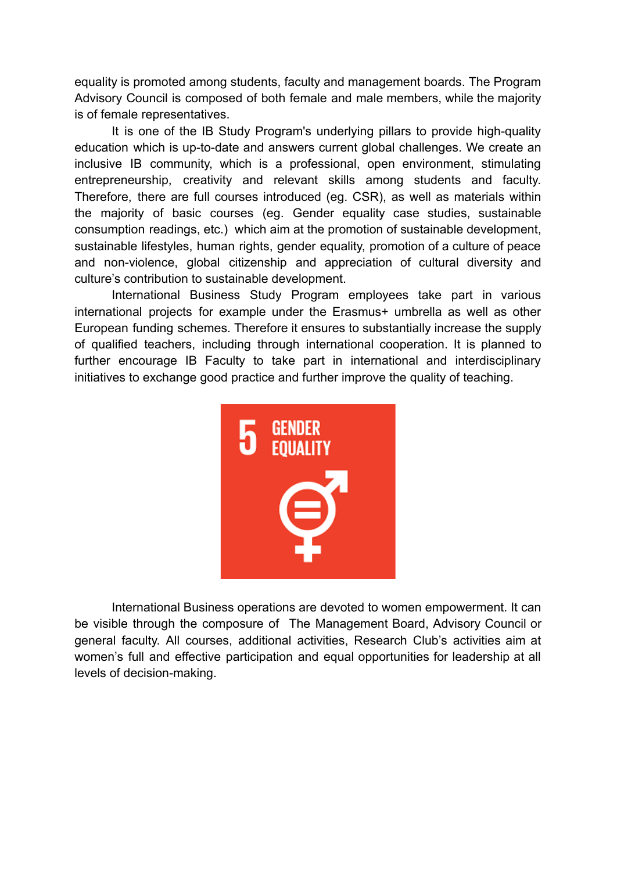equality is promoted among students, faculty and management boards. The Program Advisory Council is composed of both female and male members, while the majority is of female representatives.

It is one of the IB Study Program's underlying pillars to provide high-quality education which is up-to-date and answers current global challenges. We create an inclusive IB community, which is a professional, open environment, stimulating entrepreneurship, creativity and relevant skills among students and faculty. Therefore, there are full courses introduced (eg. CSR), as well as materials within the majority of basic courses (eg. Gender equality case studies, sustainable consumption readings, etc.) which aim at the promotion of sustainable development, sustainable lifestyles, human rights, gender equality, promotion of a culture of peace and non-violence, global citizenship and appreciation of cultural diversity and culture's contribution to sustainable development.

International Business Study Program employees take part in various international projects for example under the Erasmus+ umbrella as well as other European funding schemes. Therefore it ensures to substantially increase the supply of qualified teachers, including through international cooperation. It is planned to further encourage IB Faculty to take part in international and interdisciplinary initiatives to exchange good practice and further improve the quality of teaching.



International Business operations are devoted to women empowerment. It can be visible through the composure of The Management Board, Advisory Council or general faculty. All courses, additional activities, Research Club's activities aim at women's full and effective participation and equal opportunities for leadership at all levels of decision-making.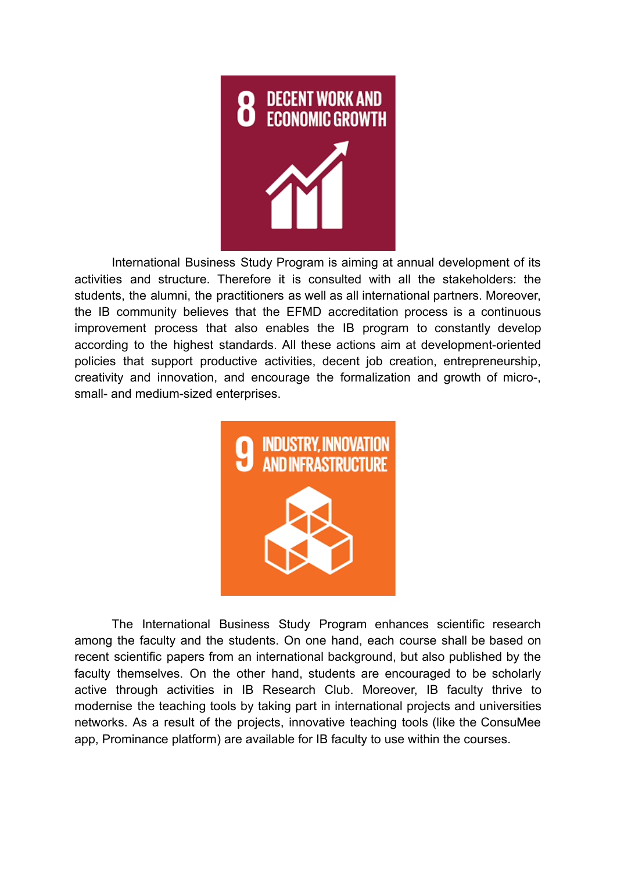

International Business Study Program is aiming at annual development of its activities and structure. Therefore it is consulted with all the stakeholders: the students, the alumni, the practitioners as well as all international partners. Moreover, the IB community believes that the EFMD accreditation process is a continuous improvement process that also enables the IB program to constantly develop according to the highest standards. All these actions aim at development-oriented policies that support productive activities, decent job creation, entrepreneurship, creativity and innovation, and encourage the formalization and growth of micro-, small- and medium-sized enterprises.



The International Business Study Program enhances scientific research among the faculty and the students. On one hand, each course shall be based on recent scientific papers from an international background, but also published by the faculty themselves. On the other hand, students are encouraged to be scholarly active through activities in IB Research Club. Moreover, IB faculty thrive to modernise the teaching tools by taking part in international projects and universities networks. As a result of the projects, innovative teaching tools (like the ConsuMee app, Prominance platform) are available for IB faculty to use within the courses.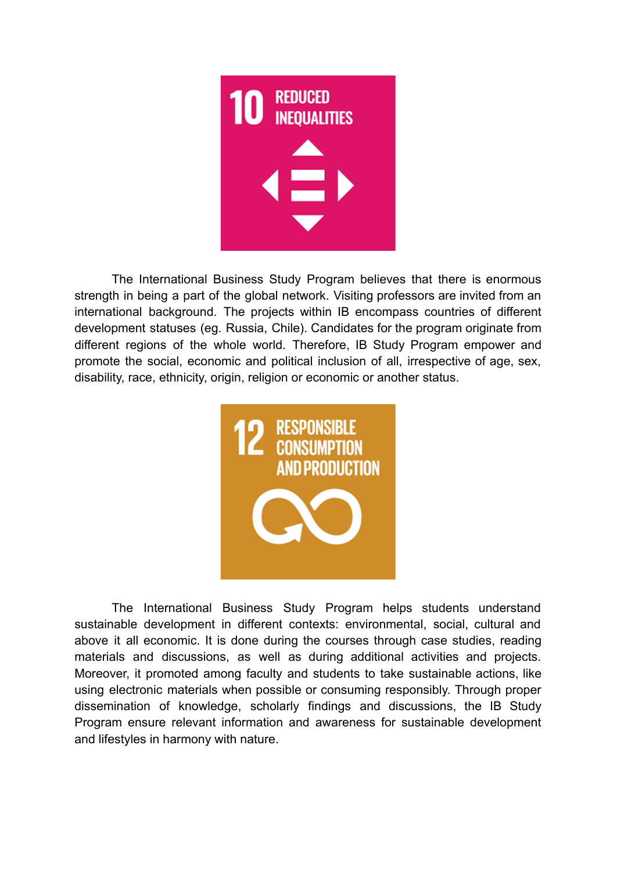

The International Business Study Program believes that there is enormous strength in being a part of the global network. Visiting professors are invited from an international background. The projects within IB encompass countries of different development statuses (eg. Russia, Chile). Candidates for the program originate from different regions of the whole world. Therefore, IB Study Program empower and promote the social, economic and political inclusion of all, irrespective of age, sex, disability, race, ethnicity, origin, religion or economic or another status.



The International Business Study Program helps students understand sustainable development in different contexts: environmental, social, cultural and above it all economic. It is done during the courses through case studies, reading materials and discussions, as well as during additional activities and projects. Moreover, it promoted among faculty and students to take sustainable actions, like using electronic materials when possible or consuming responsibly. Through proper dissemination of knowledge, scholarly findings and discussions, the IB Study Program ensure relevant information and awareness for sustainable development and lifestyles in harmony with nature.